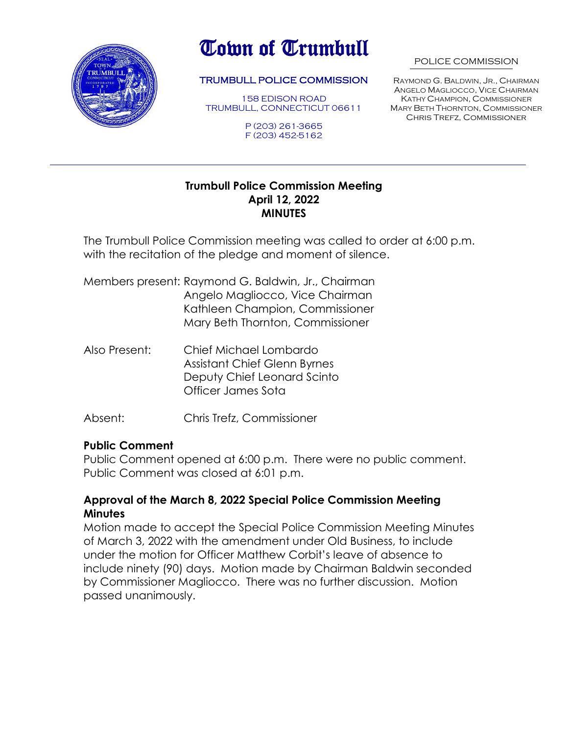

# Town of Trumbull

#### TRUMBULL POLICE COMMISSION

158 EDISON ROAD TRUMBULL, CONNECTICUT 06611

> P (203) 261-3665 F (203) 452-5162

#### POLICE COMMISSION

RAYMOND G. BALDWIN, JR., CHAIRMAN ANGELO MAGLIOCCO, VICE CHAIRMAN KATHY CHAMPION, COMMISSIONER MARY BETH THORNTON, COMMISSIONER Chris Trefz, Commissioner

#### **Trumbull Police Commission Meeting April 12, 2022 MINUTES**

The Trumbull Police Commission meeting was called to order at 6:00 p.m. with the recitation of the pledge and moment of silence.

Members present: Raymond G. Baldwin, Jr., Chairman Angelo Magliocco, Vice Chairman Kathleen Champion, Commissioner Mary Beth Thornton, Commissioner

- Also Present: Chief Michael Lombardo Assistant Chief Glenn Byrnes Deputy Chief Leonard Scinto Officer James Sota
- Absent: Chris Trefz, Commissioner

#### **Public Comment**

Public Comment opened at 6:00 p.m. There were no public comment. Public Comment was closed at 6:01 p.m.

#### **Approval of the March 8, 2022 Special Police Commission Meeting Minutes**

Motion made to accept the Special Police Commission Meeting Minutes of March 3, 2022 with the amendment under Old Business, to include under the motion for Officer Matthew Corbit's leave of absence to include ninety (90) days. Motion made by Chairman Baldwin seconded by Commissioner Magliocco. There was no further discussion. Motion passed unanimously.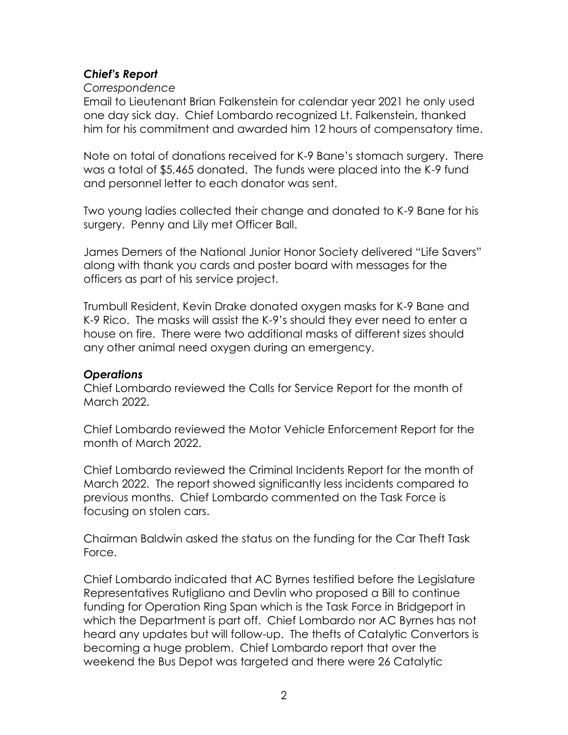# *Chief's Report*

*Correspondence*

Email to Lieutenant Brian Falkenstein for calendar year 2021 he only used one day sick day. Chief Lombardo recognized Lt. Falkenstein, thanked him for his commitment and awarded him 12 hours of compensatory time.

Note on total of donations received for K-9 Bane's stomach surgery. There was a total of \$5,465 donated. The funds were placed into the K-9 fund and personnel letter to each donator was sent.

Two young ladies collected their change and donated to K-9 Bane for his surgery. Penny and Lily met Officer Ball.

James Demers of the National Junior Honor Society delivered "Life Savers" along with thank you cards and poster board with messages for the officers as part of his service project.

Trumbull Resident, Kevin Drake donated oxygen masks for K-9 Bane and K-9 Rico. The masks will assist the K-9's should they ever need to enter a house on fire. There were two additional masks of different sizes should any other animal need oxygen during an emergency.

### *Operations*

Chief Lombardo reviewed the Calls for Service Report for the month of March 2022.

Chief Lombardo reviewed the Motor Vehicle Enforcement Report for the month of March 2022.

Chief Lombardo reviewed the Criminal Incidents Report for the month of March 2022. The report showed significantly less incidents compared to previous months. Chief Lombardo commented on the Task Force is focusing on stolen cars.

Chairman Baldwin asked the status on the funding for the Car Theft Task Force.

Chief Lombardo indicated that AC Byrnes testified before the Legislature Representatives Rutigliano and Devlin who proposed a Bill to continue funding for Operation Ring Span which is the Task Force in Bridgeport in which the Department is part off. Chief Lombardo nor AC Byrnes has not heard any updates but will follow-up. The thefts of Catalytic Convertors is becoming a huge problem. Chief Lombardo report that over the weekend the Bus Depot was targeted and there were 26 Catalytic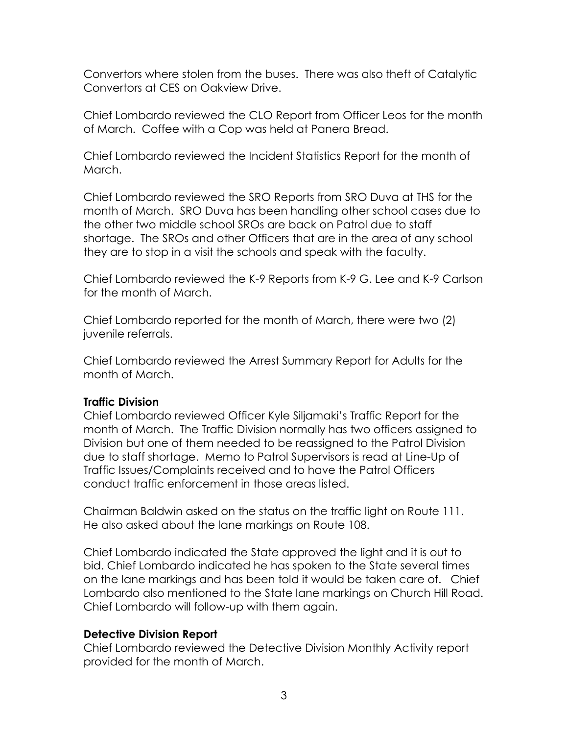Convertors where stolen from the buses. There was also theft of Catalytic Convertors at CES on Oakview Drive.

Chief Lombardo reviewed the CLO Report from Officer Leos for the month of March. Coffee with a Cop was held at Panera Bread.

Chief Lombardo reviewed the Incident Statistics Report for the month of March.

Chief Lombardo reviewed the SRO Reports from SRO Duva at THS for the month of March. SRO Duva has been handling other school cases due to the other two middle school SROs are back on Patrol due to staff shortage. The SROs and other Officers that are in the area of any school they are to stop in a visit the schools and speak with the faculty.

Chief Lombardo reviewed the K-9 Reports from K-9 G. Lee and K-9 Carlson for the month of March.

Chief Lombardo reported for the month of March, there were two (2) juvenile referrals.

Chief Lombardo reviewed the Arrest Summary Report for Adults for the month of March.

### **Traffic Division**

Chief Lombardo reviewed Officer Kyle Siljamaki's Traffic Report for the month of March. The Traffic Division normally has two officers assigned to Division but one of them needed to be reassigned to the Patrol Division due to staff shortage. Memo to Patrol Supervisors is read at Line-Up of Traffic Issues/Complaints received and to have the Patrol Officers conduct traffic enforcement in those areas listed.

Chairman Baldwin asked on the status on the traffic light on Route 111. He also asked about the lane markings on Route 108.

Chief Lombardo indicated the State approved the light and it is out to bid. Chief Lombardo indicated he has spoken to the State several times on the lane markings and has been told it would be taken care of. Chief Lombardo also mentioned to the State lane markings on Church Hill Road. Chief Lombardo will follow-up with them again.

### **Detective Division Report**

Chief Lombardo reviewed the Detective Division Monthly Activity report provided for the month of March.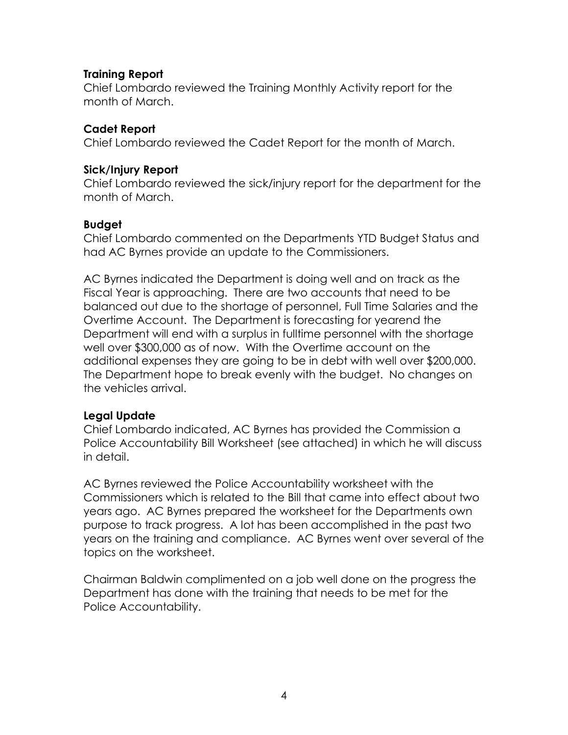#### **Training Report**

Chief Lombardo reviewed the Training Monthly Activity report for the month of March.

#### **Cadet Report**

Chief Lombardo reviewed the Cadet Report for the month of March.

#### **Sick/Injury Report**

Chief Lombardo reviewed the sick/injury report for the department for the month of March.

### **Budget**

Chief Lombardo commented on the Departments YTD Budget Status and had AC Byrnes provide an update to the Commissioners.

AC Byrnes indicated the Department is doing well and on track as the Fiscal Year is approaching. There are two accounts that need to be balanced out due to the shortage of personnel, Full Time Salaries and the Overtime Account. The Department is forecasting for yearend the Department will end with a surplus in fulltime personnel with the shortage well over \$300,000 as of now. With the Overtime account on the additional expenses they are going to be in debt with well over \$200,000. The Department hope to break evenly with the budget. No changes on the vehicles arrival.

### **Legal Update**

Chief Lombardo indicated, AC Byrnes has provided the Commission a Police Accountability Bill Worksheet (see attached) in which he will discuss in detail.

AC Byrnes reviewed the Police Accountability worksheet with the Commissioners which is related to the Bill that came into effect about two years ago. AC Byrnes prepared the worksheet for the Departments own purpose to track progress. A lot has been accomplished in the past two years on the training and compliance. AC Byrnes went over several of the topics on the worksheet.

Chairman Baldwin complimented on a job well done on the progress the Department has done with the training that needs to be met for the Police Accountability.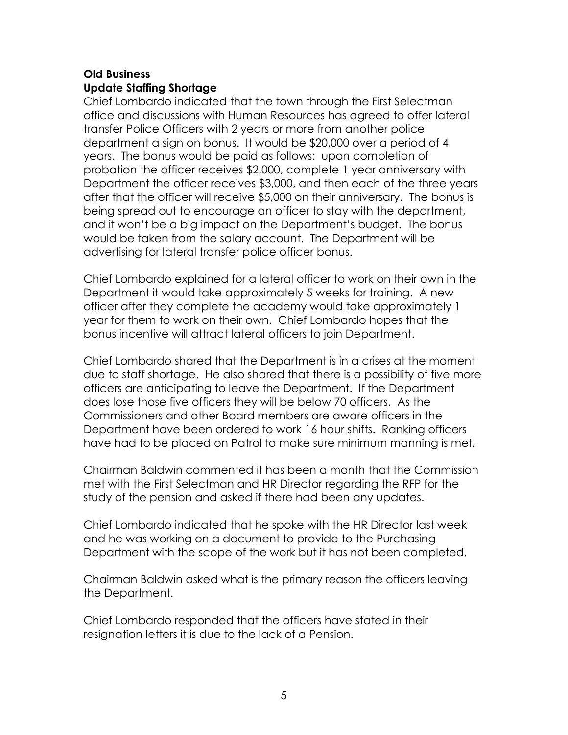# **Old Business Update Staffing Shortage**

Chief Lombardo indicated that the town through the First Selectman office and discussions with Human Resources has agreed to offer lateral transfer Police Officers with 2 years or more from another police department a sign on bonus. It would be \$20,000 over a period of 4 years. The bonus would be paid as follows: upon completion of probation the officer receives \$2,000, complete 1 year anniversary with Department the officer receives \$3,000, and then each of the three years after that the officer will receive \$5,000 on their anniversary. The bonus is being spread out to encourage an officer to stay with the department, and it won't be a big impact on the Department's budget. The bonus would be taken from the salary account. The Department will be advertising for lateral transfer police officer bonus.

Chief Lombardo explained for a lateral officer to work on their own in the Department it would take approximately 5 weeks for training. A new officer after they complete the academy would take approximately 1 year for them to work on their own. Chief Lombardo hopes that the bonus incentive will attract lateral officers to join Department.

Chief Lombardo shared that the Department is in a crises at the moment due to staff shortage. He also shared that there is a possibility of five more officers are anticipating to leave the Department. If the Department does lose those five officers they will be below 70 officers. As the Commissioners and other Board members are aware officers in the Department have been ordered to work 16 hour shifts. Ranking officers have had to be placed on Patrol to make sure minimum manning is met.

Chairman Baldwin commented it has been a month that the Commission met with the First Selectman and HR Director regarding the RFP for the study of the pension and asked if there had been any updates.

Chief Lombardo indicated that he spoke with the HR Director last week and he was working on a document to provide to the Purchasing Department with the scope of the work but it has not been completed.

Chairman Baldwin asked what is the primary reason the officers leaving the Department.

Chief Lombardo responded that the officers have stated in their resignation letters it is due to the lack of a Pension.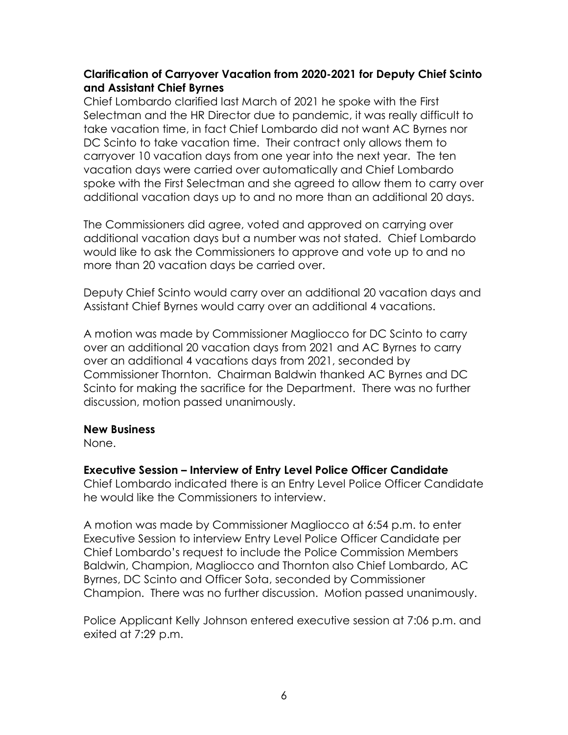### **Clarification of Carryover Vacation from 2020-2021 for Deputy Chief Scinto and Assistant Chief Byrnes**

Chief Lombardo clarified last March of 2021 he spoke with the First Selectman and the HR Director due to pandemic, it was really difficult to take vacation time, in fact Chief Lombardo did not want AC Byrnes nor DC Scinto to take vacation time. Their contract only allows them to carryover 10 vacation days from one year into the next year. The ten vacation days were carried over automatically and Chief Lombardo spoke with the First Selectman and she agreed to allow them to carry over additional vacation days up to and no more than an additional 20 days.

The Commissioners did agree, voted and approved on carrying over additional vacation days but a number was not stated. Chief Lombardo would like to ask the Commissioners to approve and vote up to and no more than 20 vacation days be carried over.

Deputy Chief Scinto would carry over an additional 20 vacation days and Assistant Chief Byrnes would carry over an additional 4 vacations.

A motion was made by Commissioner Magliocco for DC Scinto to carry over an additional 20 vacation days from 2021 and AC Byrnes to carry over an additional 4 vacations days from 2021, seconded by Commissioner Thornton. Chairman Baldwin thanked AC Byrnes and DC Scinto for making the sacrifice for the Department. There was no further discussion, motion passed unanimously.

### **New Business**

None.

### **Executive Session – Interview of Entry Level Police Officer Candidate**

Chief Lombardo indicated there is an Entry Level Police Officer Candidate he would like the Commissioners to interview.

A motion was made by Commissioner Magliocco at 6:54 p.m. to enter Executive Session to interview Entry Level Police Officer Candidate per Chief Lombardo's request to include the Police Commission Members Baldwin, Champion, Magliocco and Thornton also Chief Lombardo, AC Byrnes, DC Scinto and Officer Sota, seconded by Commissioner Champion. There was no further discussion. Motion passed unanimously.

Police Applicant Kelly Johnson entered executive session at 7:06 p.m. and exited at 7:29 p.m.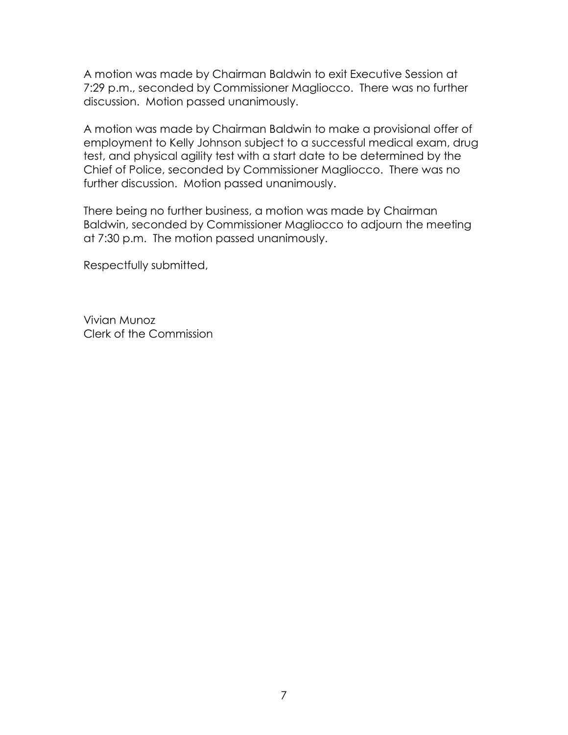A motion was made by Chairman Baldwin to exit Executive Session at 7:29 p.m., seconded by Commissioner Magliocco. There was no further discussion. Motion passed unanimously.

A motion was made by Chairman Baldwin to make a provisional offer of employment to Kelly Johnson subject to a successful medical exam, drug test, and physical agility test with a start date to be determined by the Chief of Police, seconded by Commissioner Magliocco. There was no further discussion. Motion passed unanimously.

There being no further business, a motion was made by Chairman Baldwin, seconded by Commissioner Magliocco to adjourn the meeting at 7:30 p.m. The motion passed unanimously.

Respectfully submitted,

Vivian Munoz Clerk of the Commission